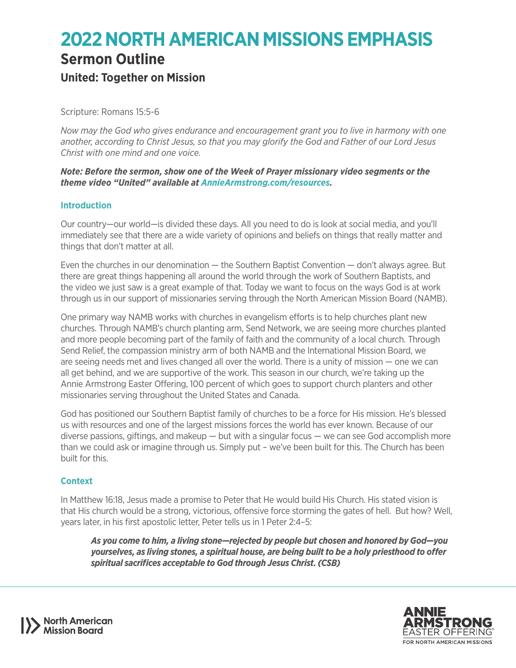# **2022 NORTH AMERICAN MISSIONS EMPHASIS**

# **Sermon Outline**

# **United: Together on Mission**

Scripture: Romans 15:5-6

*Now may the God who gives endurance and encouragement grant you to live in harmony with one another, according to Christ Jesus, so that you may glorify the God and Father of our Lord Jesus Christ with one mind and one voice.*

*Note: Before the sermon, show one of the Week of Prayer missionary video segments or the theme video "United" available at [AnnieArmstrong.com/resources](http://anniearmstrong.com/resources).*

# **Introduction**

Our country—our world—is divided these days. All you need to do is look at social media, and you'll immediately see that there are a wide variety of opinions and beliefs on things that really matter and things that don't matter at all.

Even the churches in our denomination — the Southern Baptist Convention — don't always agree. But there are great things happening all around the world through the work of Southern Baptists, and the video we just saw is a great example of that. Today we want to focus on the ways God is at work through us in our support of missionaries serving through the North American Mission Board (NAMB).

One primary way NAMB works with churches in evangelism efforts is to help churches plant new churches. Through NAMB's church planting arm, Send Network, we are seeing more churches planted and more people becoming part of the family of faith and the community of a local church. Through Send Relief, the compassion ministry arm of both NAMB and the International Mission Board, we are seeing needs met and lives changed all over the world. There is a unity of mission — one we can all get behind, and we are supportive of the work. This season in our church, we're taking up the Annie Armstrong Easter Offering, 100 percent of which goes to support church planters and other missionaries serving throughout the United States and Canada.

God has positioned our Southern Baptist family of churches to be a force for His mission. He's blessed us with resources and one of the largest missions forces the world has ever known. Because of our diverse passions, giftings, and makeup  $-$  but with a singular focus  $-$  we can see God accomplish more than we could ask or imagine through us. Simply put – we've been built for this. The Church has been built for this.

# **Context**

In Matthew 16:18, Jesus made a promise to Peter that He would build His Church. His stated vision is that His church would be a strong, victorious, offensive force storming the gates of hell. But how? Well, years later, in his first apostolic letter, Peter tells us in 1 Peter 2:4–5:

*As you come to him, a living stone—rejected by people but chosen and honored by God—you yourselves, as living stones, a spiritual house, are being built to be a holy priesthood to offer spiritual sacrifices acceptable to God through Jesus Christ. (CSB)*



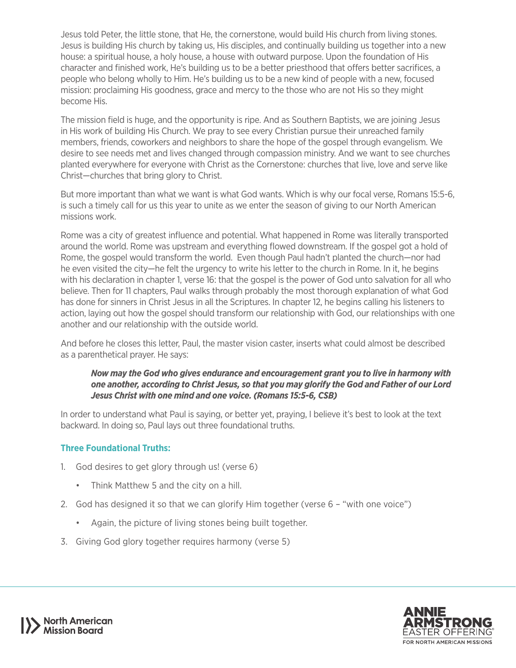Jesus told Peter, the little stone, that He, the cornerstone, would build His church from living stones. Jesus is building His church by taking us, His disciples, and continually building us together into a new house: a spiritual house, a holy house, a house with outward purpose. Upon the foundation of His character and finished work, He's building us to be a better priesthood that offers better sacrifices, a people who belong wholly to Him. He's building us to be a new kind of people with a new, focused mission: proclaiming His goodness, grace and mercy to the those who are not His so they might become His.

The mission field is huge, and the opportunity is ripe. And as Southern Baptists, we are joining Jesus in His work of building His Church. We pray to see every Christian pursue their unreached family members, friends, coworkers and neighbors to share the hope of the gospel through evangelism. We desire to see needs met and lives changed through compassion ministry. And we want to see churches planted everywhere for everyone with Christ as the Cornerstone: churches that live, love and serve like Christ—churches that bring glory to Christ.

But more important than what we want is what God wants. Which is why our focal verse, Romans 15:5-6, is such a timely call for us this year to unite as we enter the season of giving to our North American missions work.

Rome was a city of greatest influence and potential. What happened in Rome was literally transported around the world. Rome was upstream and everything flowed downstream. If the gospel got a hold of Rome, the gospel would transform the world. Even though Paul hadn't planted the church—nor had he even visited the city—he felt the urgency to write his letter to the church in Rome. In it, he begins with his declaration in chapter 1, verse 16: that the gospel is the power of God unto salvation for all who believe. Then for 11 chapters, Paul walks through probably the most thorough explanation of what God has done for sinners in Christ Jesus in all the Scriptures. In chapter 12, he begins calling his listeners to action, laying out how the gospel should transform our relationship with God, our relationships with one another and our relationship with the outside world.

And before he closes this letter, Paul, the master vision caster, inserts what could almost be described as a parenthetical prayer. He says:

#### *Now may the God who gives endurance and encouragement grant you to live in harmony with one another, according to Christ Jesus, so that you may glorify the God and Father of our Lord Jesus Christ with one mind and one voice. (Romans 15:5-6, CSB)*

In order to understand what Paul is saying, or better yet, praying, I believe it's best to look at the text backward. In doing so, Paul lays out three foundational truths.

#### **Three Foundational Truths:**

- 1. God desires to get glory through us! (verse 6)
	- Think Matthew 5 and the city on a hill.
- 2. God has designed it so that we can glorify Him together (verse 6 "with one voice")
	- Again, the picture of living stones being built together.
- 3. Giving God glory together requires harmony (verse 5)



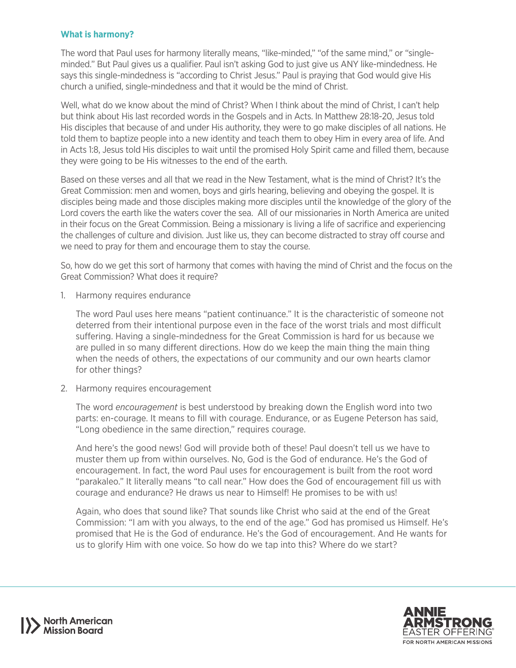#### **What is harmony?**

The word that Paul uses for harmony literally means, "like-minded," "of the same mind," or "singleminded." But Paul gives us a qualifier. Paul isn't asking God to just give us ANY like-mindedness. He says this single-mindedness is "according to Christ Jesus." Paul is praying that God would give His church a unified, single-mindedness and that it would be the mind of Christ.

Well, what do we know about the mind of Christ? When I think about the mind of Christ, I can't help but think about His last recorded words in the Gospels and in Acts. In Matthew 28:18-20, Jesus told His disciples that because of and under His authority, they were to go make disciples of all nations. He told them to baptize people into a new identity and teach them to obey Him in every area of life. And in Acts 1:8, Jesus told His disciples to wait until the promised Holy Spirit came and filled them, because they were going to be His witnesses to the end of the earth.

Based on these verses and all that we read in the New Testament, what is the mind of Christ? It's the Great Commission: men and women, boys and girls hearing, believing and obeying the gospel. It is disciples being made and those disciples making more disciples until the knowledge of the glory of the Lord covers the earth like the waters cover the sea. All of our missionaries in North America are united in their focus on the Great Commission. Being a missionary is living a life of sacrifice and experiencing the challenges of culture and division. Just like us, they can become distracted to stray off course and we need to pray for them and encourage them to stay the course.

So, how do we get this sort of harmony that comes with having the mind of Christ and the focus on the Great Commission? What does it require?

1. Harmony requires endurance

The word Paul uses here means "patient continuance." It is the characteristic of someone not deterred from their intentional purpose even in the face of the worst trials and most difficult suffering. Having a single-mindedness for the Great Commission is hard for us because we are pulled in so many different directions. How do we keep the main thing the main thing when the needs of others, the expectations of our community and our own hearts clamor for other things?

2. Harmony requires encouragement

The word *encouragement* is best understood by breaking down the English word into two parts: en-courage. It means to fill with courage. Endurance, or as Eugene Peterson has said, "Long obedience in the same direction," requires courage.

And here's the good news! God will provide both of these! Paul doesn't tell us we have to muster them up from within ourselves. No, God is the God of endurance. He's the God of encouragement. In fact, the word Paul uses for encouragement is built from the root word "parakaleo." It literally means "to call near." How does the God of encouragement fill us with courage and endurance? He draws us near to Himself! He promises to be with us!

Again, who does that sound like? That sounds like Christ who said at the end of the Great Commission: "I am with you always, to the end of the age." God has promised us Himself. He's promised that He is the God of endurance. He's the God of encouragement. And He wants for us to glorify Him with one voice. So how do we tap into this? Where do we start?